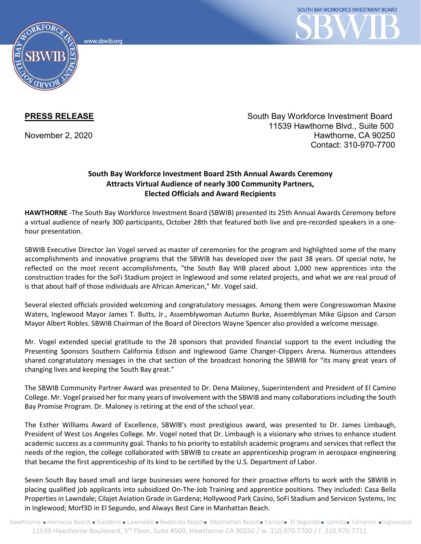www.sbwib.orc



**PRESS RELEASE** South Bay Workforce Investment Board 11539 Hawthorne Blvd., Suite 500 November 2, 2020 Hawthorne, CA 90250 Contact: 310-970-7700

## **South Bay Workforce Investment Board 25th Annual Awards Ceremony Attracts Virtual Audience of nearly 300 Community Partners, Elected Officials and Award Recipients**

**HAWTHORNE** -The South Bay Workforce Investment Board (SBWIB) presented its 25th Annual Awards Ceremony before a virtual audience of nearly 300 participants, October 28th that featured both live and pre-recorded speakers in a onehour presentation.

SBWIB Executive Director Jan Vogel served as master of ceremonies for the program and highlighted some of the many accomplishments and innovative programs that the SBWIB has developed over the past 38 years. Of special note, he reflected on the most recent accomplishments, "the South Bay WIB placed about 1,000 new apprentices into the construction trades for the SoFi Stadium project in Inglewood and some related projects, and what we are real proud of is that about half of those individuals are African American," Mr. Vogel said.

Several elected officials provided welcoming and congratulatory messages. Among them were Congresswoman Maxine Waters, Inglewood Mayor James T. Butts, Jr., Assemblywoman Autumn Burke, Assemblyman Mike Gipson and Carson Mayor Albert Robles. SBWIB Chairman of the Board of Directors Wayne Spencer also provided a welcome message.

Mr. Vogel extended special gratitude to the 28 sponsors that provided financial support to the event including the Presenting Sponsors Southern California Edison and Inglewood Game Changer-Clippers Arena. Numerous attendees shared congratulatory messages in the chat section of the broadcast honoring the SBWIB for "its many great years of changing lives and keeping the South Bay great."

The SBWIB Community Partner Award was presented to Dr. Dena Maloney, Superintendent and President of El Camino College. Mr. Vogel praised her for many years of involvement with the SBWIB and many collaborations including the South Bay Promise Program. Dr. Maloney is retiring at the end of the school year.

The Esther Williams Award of Excellence, SBWIB's most prestigious award, was presented to Dr. James Limbaugh, President of West Los Angeles College. Mr. Vogel noted that Dr. Limbaugh is a visionary who strives to enhance student academic success as a community goal. Thanks to his priority to establish academic programs and services that reflect the needs of the region, the college collaborated with SBWIB to create an apprenticeship program in aerospace engineering that became the first apprenticeship of its kind to be certified by the U.S. Department of Labor.

Seven South Bay based small and large businesses were honored for their proactive efforts to work with the SBWIB in placing qualified job applicants into subsidized On-The-Job Training and apprentice positions. They included: Casa Bella Properties in Lawndale; Cilajet Aviation Grade in Gardena; Hollywood Park Casino, SoFi Stadium and Servicon Systems, Inc in Inglewood; Morf3D in El Segundo, and Always Best Care in Manhattan Beach.